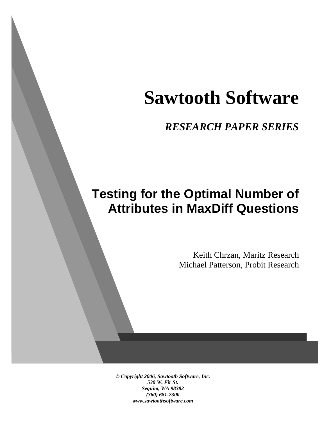# **Sawtooth Software**

*RESEARCH PAPER SERIES*

# **Testing for the Optimal Number of Attributes in MaxDiff Questions**

Keith Chrzan, Maritz Research Michael Patterson, Probit Research

*© Copyright 2006, Sawtooth Software, Inc. 530 W. Fir St. Sequim, WA 98382 (360) 681-2300 www.sawtoothsoftware.com*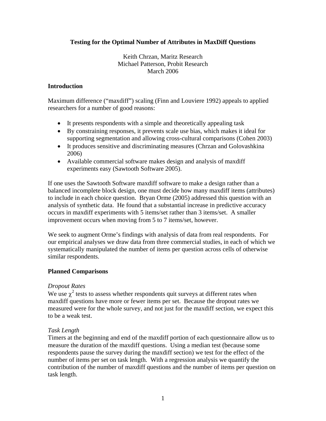# **Testing for the Optimal Number of Attributes in MaxDiff Questions**

Keith Chrzan, Maritz Research Michael Patterson, Probit Research March 2006

# **Introduction**

Maximum difference ("maxdiff") scaling (Finn and Louviere 1992) appeals to applied researchers for a number of good reasons:

- It presents respondents with a simple and theoretically appealing task
- By constraining responses, it prevents scale use bias, which makes it ideal for supporting segmentation and allowing cross-cultural comparisons (Cohen 2003)
- It produces sensitive and discriminating measures (Chrzan and Golovashkina 2006)
- Available commercial software makes design and analysis of maxdiff experiments easy (Sawtooth Software 2005).

If one uses the Sawtooth Software maxdiff software to make a design rather than a balanced incomplete block design, one must decide how many maxdiff items (attributes) to include in each choice question. Bryan Orme (2005) addressed this question with an analysis of synthetic data. He found that a substantial increase in predictive accuracy occurs in maxdiff experiments with 5 items/set rather than 3 items/set. A smaller improvement occurs when moving from 5 to 7 items/set, however.

We seek to augment Orme's findings with analysis of data from real respondents. For our empirical analyses we draw data from three commercial studies, in each of which we systematically manipulated the number of items per question across cells of otherwise similar respondents.

#### **Planned Comparisons**

#### *Dropout Rates*

We use  $\chi^2$  tests to assess whether respondents quit surveys at different rates when maxdiff questions have more or fewer items per set. Because the dropout rates we measured were for the whole survey, and not just for the maxdiff section, we expect this to be a weak test.

#### *Task Length*

Timers at the beginning and end of the maxdiff portion of each questionnaire allow us to measure the duration of the maxdiff questions. Using a median test (because some respondents pause the survey during the maxdiff section) we test for the effect of the number of items per set on task length. With a regression analysis we quantify the contribution of the number of maxdiff questions and the number of items per question on task length.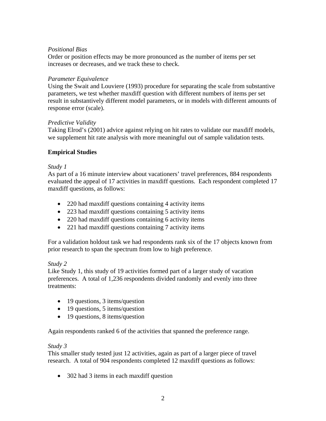# *Positional Bias*

Order or position effects may be more pronounced as the number of items per set increases or decreases, and we track these to check.

### *Parameter Equivalence*

Using the Swait and Louviere (1993) procedure for separating the scale from substantive parameters, we test whether maxdiff question with different numbers of items per set result in substantively different model parameters, or in models with different amounts of response error (scale).

#### *Predictive Validity*

Taking Elrod's (2001) advice against relying on hit rates to validate our maxdiff models, we supplement hit rate analysis with more meaningful out of sample validation tests.

# **Empirical Studies**

# *Study 1*

As part of a 16 minute interview about vacationers' travel preferences, 884 respondents evaluated the appeal of 17 activities in maxdiff questions. Each respondent completed 17 maxdiff questions, as follows:

- 220 had maxdiff questions containing 4 activity items
- 223 had maxdiff questions containing 5 activity items
- 220 had maxdiff questions containing 6 activity items
- 221 had maxdiff questions containing 7 activity items

For a validation holdout task we had respondents rank six of the 17 objects known from prior research to span the spectrum from low to high preference.

# *Study 2*

Like Study 1, this study of 19 activities formed part of a larger study of vacation preferences. A total of 1,236 respondents divided randomly and evenly into three treatments:

- 19 questions, 3 items/question
- 19 questions, 5 items/question
- 19 questions, 8 items/question

Again respondents ranked 6 of the activities that spanned the preference range.

#### *Study 3*

This smaller study tested just 12 activities, again as part of a larger piece of travel research. A total of 904 respondents completed 12 maxdiff questions as follows:

• 302 had 3 items in each maxdiff question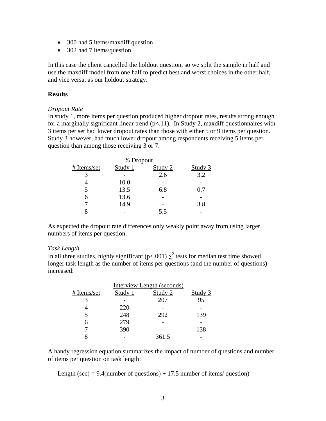- 300 had 5 items/maxdiff question
- 302 had 7 items/question

In this case the client cancelled the holdout question, so we split the sample in half and use the maxdiff model from one half to predict best and worst choices in the other half, and vice versa, as our holdout strategy.

#### **Results**

#### *Dropout Rate*

In study 1, more items per question produced higher dropout rates, results strong enough for a marginally significant linear trend  $(p<11)$ . In Study 2, maxdiff questionnaires with 3 items per set had lower dropout rates than those with either 5 or 9 items per question. Study 3 however, had much lower dropout among respondents receiving 5 items per question than among those receiving 3 or 7.

|             |         | % Dropout |         |  |
|-------------|---------|-----------|---------|--|
| # Items/set | Study 1 | Study 2   | Study 3 |  |
|             |         | 2.6       | 3.2     |  |
|             | 10.0    |           |         |  |
|             | 13.5    | 6.8       | 0.7     |  |
| h           | 13.6    |           |         |  |
|             | 14.9    |           | 3.8     |  |
|             |         | 5.5       |         |  |

As expected the dropout rate differences only weakly point away from using larger numbers of items per question.

#### *Task Length*

In all three studies, highly significant ( $p<0.01$ )  $\chi^2$  tests for median test time showed longer task length as the number of items per questions (and the number of questions) increased:

|             | Interview Length (seconds) |         |         |  |
|-------------|----------------------------|---------|---------|--|
| # Items/set | Study 1                    | Study 2 | Study 3 |  |
|             |                            | 207     | 95      |  |
|             | 220                        |         |         |  |
|             | 248                        | 292     | 139     |  |
|             | 279                        |         |         |  |
|             | 390                        |         | 138     |  |
|             |                            | 361.5   |         |  |

A handy regression equation summarizes the impact of number of questions and number of items per question on task length:

Length (sec) =  $9.4$ (number of questions) + 17.5 number of items/ question)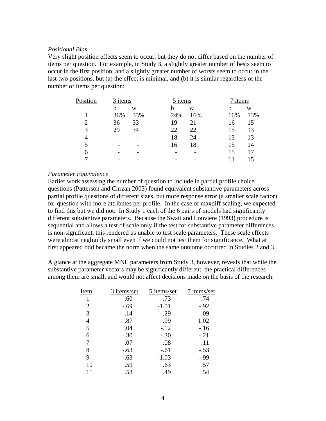#### *Positional Bias*

Very slight position effects seem to occur, but they do not differ based on the number of items per question. For example, in Study 3, a slightly greater number of bests seem to occur in the first position, and a slightly greater number of worsts seem to occur in the last two positions, but (a) the effect is minimal, and (b) it is similar regardless of the number of items per question:

| Position | 3 items |                          | 5 items |     | 7 items |     |
|----------|---------|--------------------------|---------|-----|---------|-----|
|          | b       | $\overline{W}$           | b       | W   | n       | W   |
|          | 36%     | 33%                      | 24%     | 16% | 16%     | 13% |
|          | 36      | 33                       | 19      | 21  | 16      | 15  |
| 3        | 29      | 34                       | 22      | 22  | 15      | 13  |
| 4        |         |                          | 18      | 24  | 13      | 13  |
|          |         |                          | 16      | 18  | 15      | 14  |
| 6        |         | $\overline{\phantom{0}}$ |         |     | 15      |     |
|          |         |                          |         |     |         |     |
|          |         |                          |         |     |         |     |

#### *Parameter Equivalence*

Earlier work assessing the number of question to include in partial profile choice questions (Patterson and Chrzan 2003) found equivalent substantive parameters across partial profile questions of different sizes, but more response error (a smaller scale factor) for question with more attributes per profile. In the case of maxdiff scaling, we expected to find this but we did not: In Study 1 each of the 6 pairs of models had significantly different substantive parameters. Because the Swait and Louviere (1993) procedure is sequential and allows a test of scale only if the test for substantive parameter differences is non-significant, this rendered us unable to test scale parameters. These scale effects were almost negligibly small even if we could not test them for significance. What at first appeared odd became the norm when the same outcome occurred in Studies 2 and 3.

A glance at the aggregate MNL parameters from Study 3, however, reveals that while the substantive parameter vectors may be significantly different, the practical differences among them are small, and would not affect decisions made on the basis of the research:

| Item | 3 items/set | 5 items/set | 7 items/set |
|------|-------------|-------------|-------------|
|      | .60         | .73         | .74         |
| 2    | $-.69$      | $-1.01$     | $-.92$      |
| 3    | .14         | .29         | .09         |
| 4    | .87         | .99         | 1.02        |
| 5    | .04         | $-.12$      | $-.16$      |
| 6    | $-.30$      | $-.30$      | $-.21$      |
|      | .07         | .08         | .11         |
| 8    | $-.63$      | $-.61$      | $-.53$      |
| 9    | $-.63$      | $-1.03$     | $-0.99$     |
| 10   | .59         | .63         | .57         |
|      | .53         | .49         | .54         |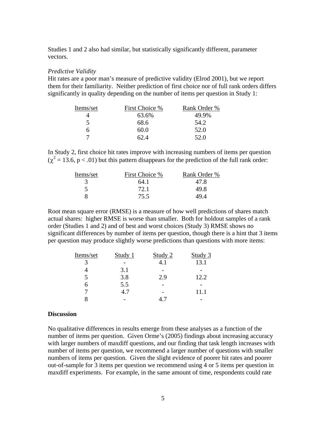Studies 1 and 2 also had similar, but statistically significantly different, parameter vectors.

#### *Predictive Validity*

Hit rates are a poor man's measure of predictive validity (Elrod 2001), but we report them for their familiarity. Neither prediction of first choice nor of full rank orders differs significantly in quality depending on the number of items per question in Study 1:

| Items/set | First Choice % | Rank Order % |
|-----------|----------------|--------------|
|           | 63.6%          | 49.9%        |
|           | 68.6           | 54.2         |
|           | 60.0           | 52.0         |
|           | 62.4           | 52.O         |

In Study 2, first choice hit rates improve with increasing numbers of items per question  $(\chi^2 = 13.6, p < .01)$  but this pattern disappears for the prediction of the full rank order:

| Items/set | First Choice % | Rank Order % |
|-----------|----------------|--------------|
|           | 64.1           | 47.8         |
|           | 72.1           | 49.8         |
|           | 75.5           | 49 4         |

Root mean square error (RMSE) is a measure of how well predictions of shares match actual shares: higher RMSE is worse than smaller. Both for holdout samples of a rank order (Studies 1 and 2) and of best and worst choices (Study 3) RMSE shows no significant differences by number of items per question, though there is a hint that 3 items per question may produce slightly worse predictions than questions with more items:

| Items/set | Study 1 | Study 2                  | Study 3 |
|-----------|---------|--------------------------|---------|
|           |         |                          | 13.1    |
|           | 3.1     | $\overline{\phantom{0}}$ |         |
|           | 3.8     | 2.9                      | 12.2    |
| h         | 5.5     |                          |         |
|           | 4.7     |                          | 11.1    |
|           |         |                          |         |

#### **Discussion**

No qualitative differences in results emerge from these analyses as a function of the number of items per question. Given Orme's (2005) findings about increasing accuracy with larger numbers of maxdiff questions, and our finding that task length increases with number of items per question, we recommend a larger number of questions with smaller numbers of items per question. Given the slight evidence of poorer hit rates and poorer out-of-sample for 3 items per question we recommend using 4 or 5 items per question in maxdiff experiments. For example, in the same amount of time, respondents could rate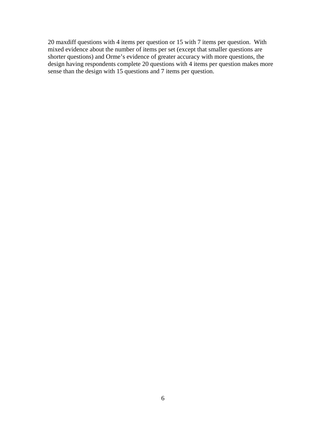20 maxdiff questions with 4 items per question or 15 with 7 items per question. With mixed evidence about the number of items per set (except that smaller questions are shorter questions) and Orme's evidence of greater accuracy with more questions, the design having respondents complete 20 questions with 4 items per question makes more sense than the design with 15 questions and 7 items per question.